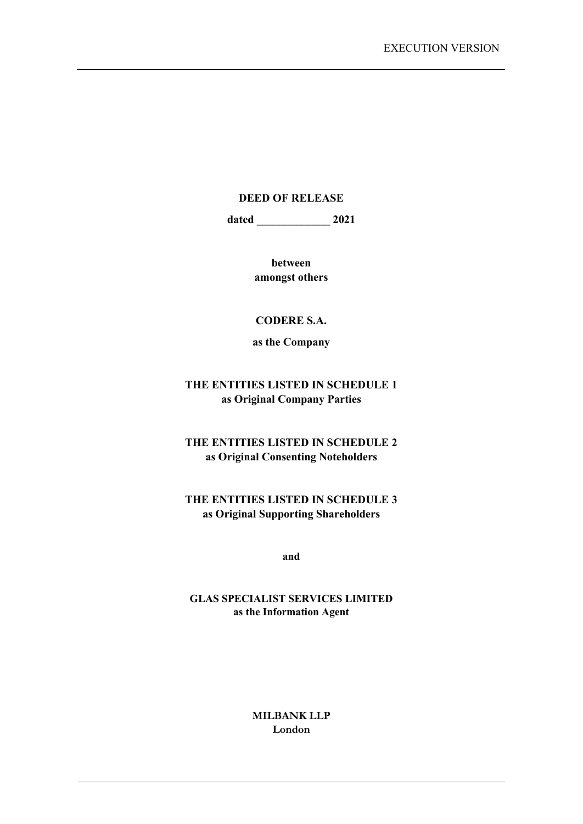#### **DEED OF RELEASE**

**dated \_\_\_\_\_\_\_\_\_\_\_\_\_ 2021** 

**between amongst others** 

#### **CODERE S.A.**

**as the Company** 

## **THE ENTITIES LISTED IN SCHEDULE 1 as Original Company Parties**

**THE ENTITIES LISTED IN SCHEDULE 2 as Original Consenting Noteholders** 

## **THE ENTITIES LISTED IN SCHEDULE 3 as Original Supporting Shareholders**

**and**

#### **GLAS SPECIALIST SERVICES LIMITED as the Information Agent**

**MILBANK LLP London**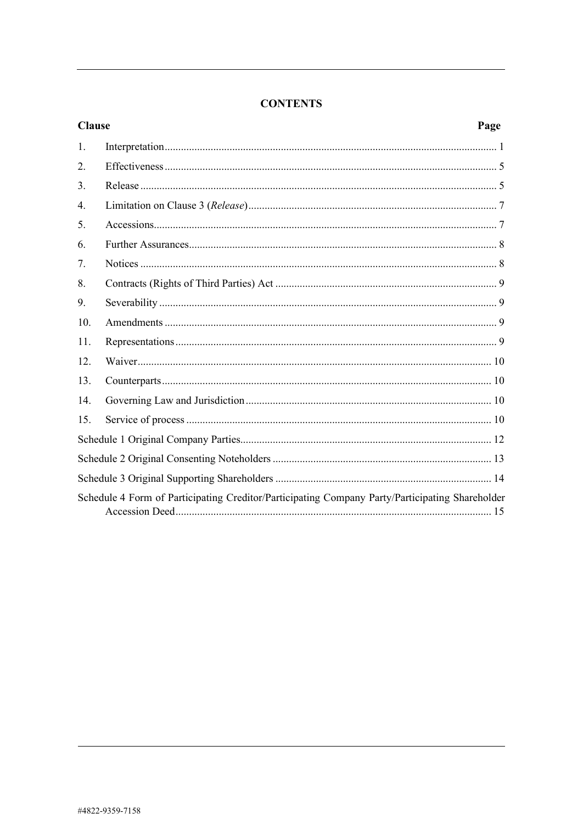## **CONTENTS**

| <b>Clause</b>                                                                                   | Page |  |  |
|-------------------------------------------------------------------------------------------------|------|--|--|
| 1.                                                                                              |      |  |  |
| 2.                                                                                              |      |  |  |
| 3.                                                                                              |      |  |  |
| 4.                                                                                              |      |  |  |
| 5.                                                                                              |      |  |  |
| 6.                                                                                              |      |  |  |
| 7.                                                                                              |      |  |  |
| 8.                                                                                              |      |  |  |
| 9.                                                                                              |      |  |  |
| 10.                                                                                             |      |  |  |
| 11.                                                                                             |      |  |  |
| 12.                                                                                             |      |  |  |
| 13.                                                                                             |      |  |  |
| 14.                                                                                             |      |  |  |
| 15.                                                                                             |      |  |  |
|                                                                                                 |      |  |  |
|                                                                                                 |      |  |  |
|                                                                                                 |      |  |  |
| Schedule 4 Form of Participating Creditor/Participating Company Party/Participating Shareholder |      |  |  |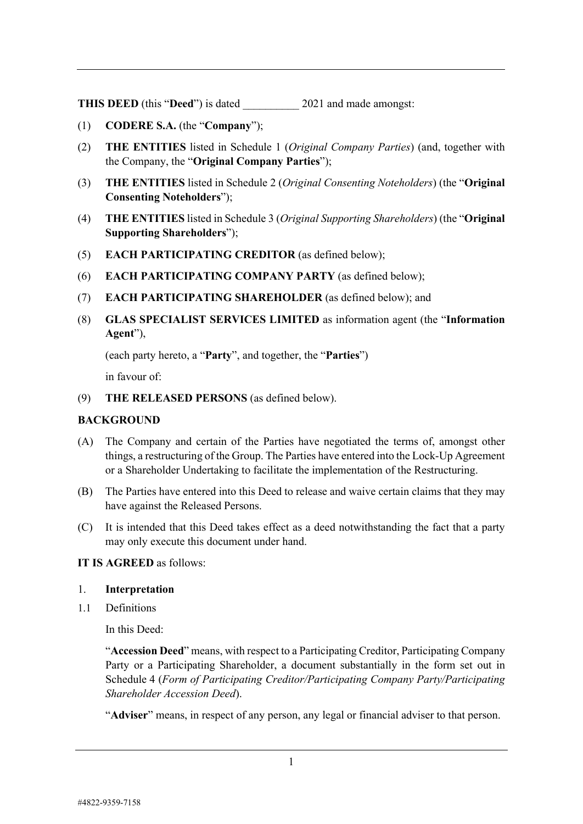**THIS DEED** (this "Deed") is dated 2021 and made amongst:

- (1) **CODERE S.A.** (the "**Company**");
- (2) **THE ENTITIES** listed in Schedule 1 (*Original Company Parties*) (and, together with the Company, the "**Original Company Parties**");
- (3) **THE ENTITIES** listed in Schedule 2 (*Original Consenting Noteholders*) (the "**Original Consenting Noteholders**");
- (4) **THE ENTITIES** listed in Schedule 3 (*Original Supporting Shareholders*) (the "**Original Supporting Shareholders**");
- (5) **EACH PARTICIPATING CREDITOR** (as defined below);
- (6) **EACH PARTICIPATING COMPANY PARTY** (as defined below);
- (7) **EACH PARTICIPATING SHAREHOLDER** (as defined below); and
- (8) **GLAS SPECIALIST SERVICES LIMITED** as information agent (the "**Information Agent**"),

(each party hereto, a "**Party**", and together, the "**Parties**")

in favour of:

(9) **THE RELEASED PERSONS** (as defined below).

#### **BACKGROUND**

- (A) The Company and certain of the Parties have negotiated the terms of, amongst other things, a restructuring of the Group. The Parties have entered into the Lock-Up Agreement or a Shareholder Undertaking to facilitate the implementation of the Restructuring.
- (B) The Parties have entered into this Deed to release and waive certain claims that they may have against the Released Persons.
- (C) It is intended that this Deed takes effect as a deed notwithstanding the fact that a party may only execute this document under hand.

#### **IT IS AGREED** as follows:

#### 1. **Interpretation**

1.1 Definitions

In this Deed:

"**Accession Deed**" means, with respect to a Participating Creditor, Participating Company Party or a Participating Shareholder, a document substantially in the form set out in [Schedule](#page-17-0) 4 (*[Form of Participating Creditor/Participating Company Party/Participating](#page-17-0)  [Shareholder Accession Deed](#page-17-0)*).

"**Adviser**" means, in respect of any person, any legal or financial adviser to that person.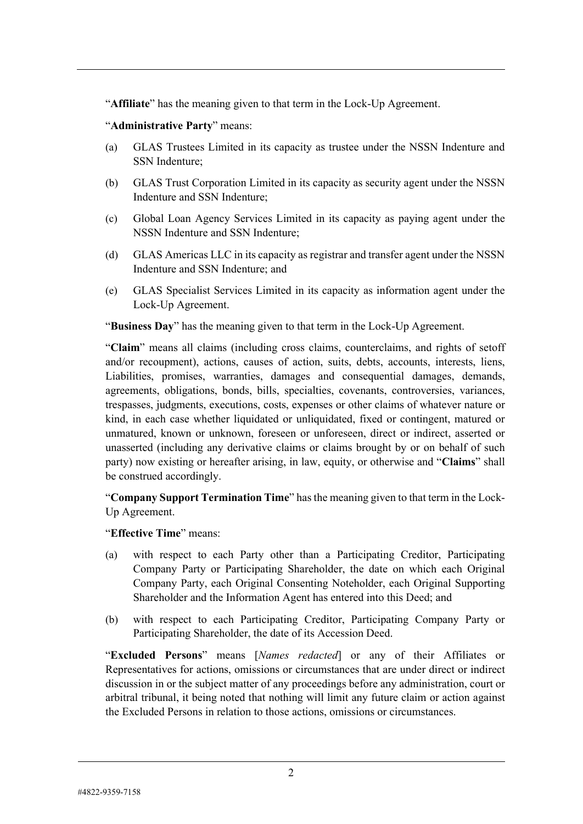"**Affiliate**" has the meaning given to that term in the Lock-Up Agreement.

#### "**Administrative Party**" means:

- (a) GLAS Trustees Limited in its capacity as trustee under the NSSN Indenture and SSN Indenture;
- (b) GLAS Trust Corporation Limited in its capacity as security agent under the NSSN Indenture and SSN Indenture;
- (c) Global Loan Agency Services Limited in its capacity as paying agent under the NSSN Indenture and SSN Indenture;
- (d) GLAS Americas LLC in its capacity as registrar and transfer agent under the NSSN Indenture and SSN Indenture; and
- (e) GLAS Specialist Services Limited in its capacity as information agent under the Lock-Up Agreement.

"**Business Day**" has the meaning given to that term in the Lock-Up Agreement.

"**Claim**" means all claims (including cross claims, counterclaims, and rights of setoff and/or recoupment), actions, causes of action, suits, debts, accounts, interests, liens, Liabilities, promises, warranties, damages and consequential damages, demands, agreements, obligations, bonds, bills, specialties, covenants, controversies, variances, trespasses, judgments, executions, costs, expenses or other claims of whatever nature or kind, in each case whether liquidated or unliquidated, fixed or contingent, matured or unmatured, known or unknown, foreseen or unforeseen, direct or indirect, asserted or unasserted (including any derivative claims or claims brought by or on behalf of such party) now existing or hereafter arising, in law, equity, or otherwise and "**Claims**" shall be construed accordingly.

"**Company Support Termination Time**" has the meaning given to that term in the Lock-Up Agreement.

"**Effective Time**" means:

- (a) with respect to each Party other than a Participating Creditor, Participating Company Party or Participating Shareholder, the date on which each Original Company Party, each Original Consenting Noteholder, each Original Supporting Shareholder and the Information Agent has entered into this Deed; and
- (b) with respect to each Participating Creditor, Participating Company Party or Participating Shareholder, the date of its Accession Deed.

"**Excluded Persons**" means [*Names redacted*] or any of their Affiliates or Representatives for actions, omissions or circumstances that are under direct or indirect discussion in or the subject matter of any proceedings before any administration, court or arbitral tribunal, it being noted that nothing will limit any future claim or action against the Excluded Persons in relation to those actions, omissions or circumstances.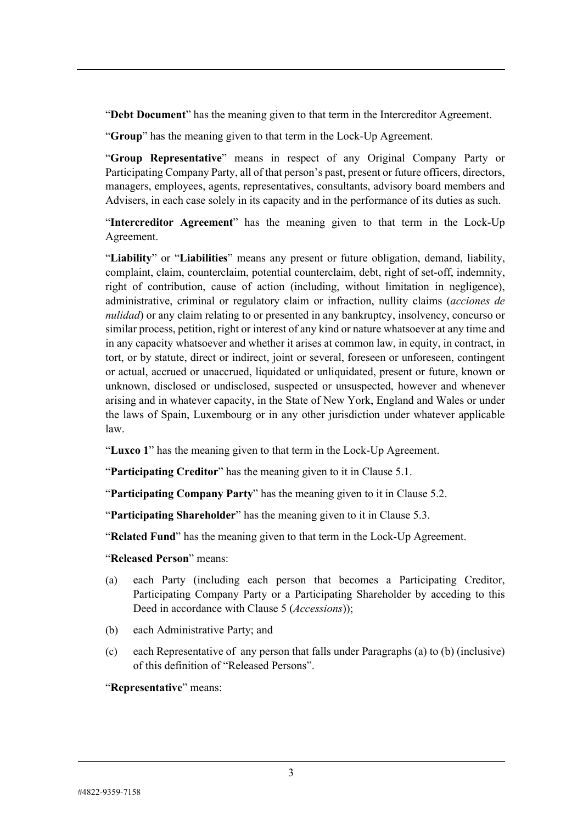"**Debt Document**" has the meaning given to that term in the Intercreditor Agreement.

"**Group**" has the meaning given to that term in the Lock-Up Agreement.

"**Group Representative**" means in respect of any Original Company Party or Participating Company Party, all of that person's past, present or future officers, directors, managers, employees, agents, representatives, consultants, advisory board members and Advisers, in each case solely in its capacity and in the performance of its duties as such.

"**Intercreditor Agreement**" has the meaning given to that term in the Lock-Up Agreement.

"**Liability**" or "**Liabilities**" means any present or future obligation, demand, liability, complaint, claim, counterclaim, potential counterclaim, debt, right of set-off, indemnity, right of contribution, cause of action (including, without limitation in negligence), administrative, criminal or regulatory claim or infraction, nullity claims (*acciones de nulidad*) or any claim relating to or presented in any bankruptcy, insolvency, concurso or similar process, petition, right or interest of any kind or nature whatsoever at any time and in any capacity whatsoever and whether it arises at common law, in equity, in contract, in tort, or by statute, direct or indirect, joint or several, foreseen or unforeseen, contingent or actual, accrued or unaccrued, liquidated or unliquidated, present or future, known or unknown, disclosed or undisclosed, suspected or unsuspected, however and whenever arising and in whatever capacity, in the State of New York, England and Wales or under the laws of Spain, Luxembourg or in any other jurisdiction under whatever applicable law.

"**Luxco 1**" has the meaning given to that term in the Lock-Up Agreement.

"**Participating Creditor**" has the meaning given to it in Clause [5.1.](#page--1-0)

"**Participating Company Party**" has the meaning given to it in Clause [5.2.](#page--1-1)

"**Participating Shareholder**" has the meaning given to it in Clause [5.3.](#page--1-2)

"**Related Fund**" has the meaning given to that term in the Lock-Up Agreement.

#### <span id="page-4-0"></span>"**Released Person**" means:

- (a) each Party (including each person that becomes a Participating Creditor, Participating Company Party o[r a Participatin](#page--1-3)g Shareholder by acceding to this Deed in accordance with Clause 5 (*Accessions*));
- (b) each Administrative Party; and
- (c) each Representative of any person that falls under Paragraph[s \(a\)](#page-4-0) to (b) (inclusive) of this definition of "Released Persons".

"**Representative**" means: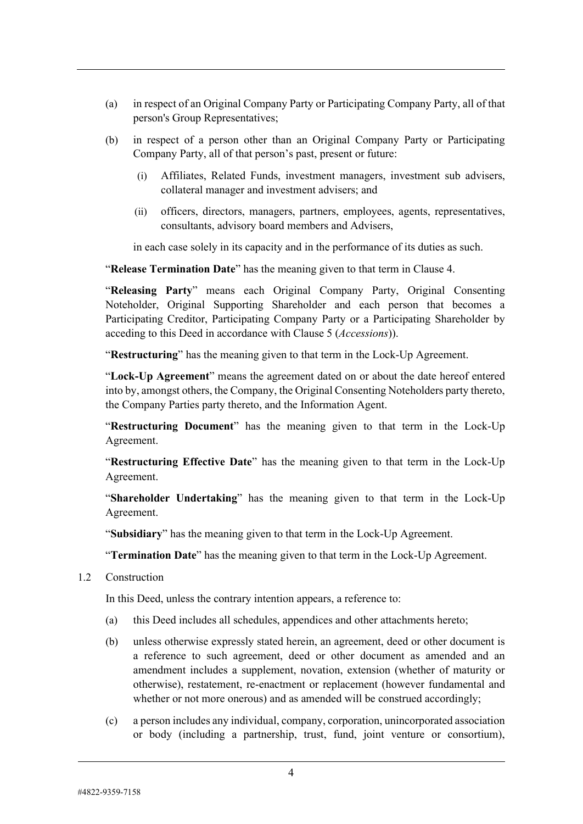- (a) in respect of an Original Company Party or Participating Company Party, all of that person's Group Representatives;
- (b) in respect of a person other than an Original Company Party or Participating Company Party, all of that person's past, present or future:
	- (i) Affiliates, Related Funds, investment managers, investment sub advisers, collateral manager and investment advisers; and
	- (ii) officers, directors, managers, partners, employees, agents, representatives, consultants, advisory board members and Advisers,

in each case solely in its capacity and in the performance of its duties as such.

"**Release Termination Date**" has the meaning given to that term in Clause [4.](#page-8-0)

"**Releasing Party**" means each Original Company Party, Original Consenting Noteholder, Original Supporting Shareholder and each person that becomes a Participating Creditor, Participating Company Party or a Participating Shareholder by acceding to this Deed in accordance with Clause [5](#page-8-1) (*[Accessions](#page-8-1)*)).

"**Restructuring**" has the meaning given to that term in the Lock-Up Agreement.

"**Lock-Up Agreement**" means the agreement dated on or about the date hereof entered into by, amongst others, the Company, the Original Consenting Noteholders party thereto, the Company Parties party thereto, and the Information Agent.

"**Restructuring Document**" has the meaning given to that term in the Lock-Up Agreement.

"**Restructuring Effective Date**" has the meaning given to that term in the Lock-Up Agreement.

"**Shareholder Undertaking**" has the meaning given to that term in the Lock-Up Agreement.

"**Subsidiary**" has the meaning given to that term in the Lock-Up Agreement.

"**Termination Date**" has the meaning given to that term in the Lock-Up Agreement.

1.2 Construction

In this Deed, unless the contrary intention appears, a reference to:

- (a) this Deed includes all schedules, appendices and other attachments hereto;
- (b) unless otherwise expressly stated herein, an agreement, deed or other document is a reference to such agreement, deed or other document as amended and an amendment includes a supplement, novation, extension (whether of maturity or otherwise), restatement, re-enactment or replacement (however fundamental and whether or not more onerous) and as amended will be construed accordingly;
- (c) a person includes any individual, company, corporation, unincorporated association or body (including a partnership, trust, fund, joint venture or consortium),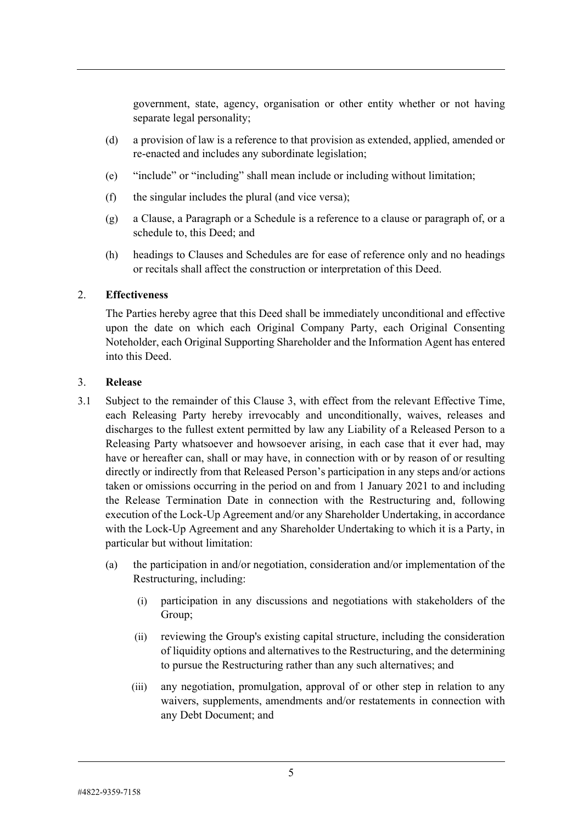government, state, agency, organisation or other entity whether or not having separate legal personality;

- (d) a provision of law is a reference to that provision as extended, applied, amended or re-enacted and includes any subordinate legislation;
- (e) "include" or "including" shall mean include or including without limitation;
- (f) the singular includes the plural (and vice versa);
- (g) a Clause, a Paragraph or a Schedule is a reference to a clause or paragraph of, or a schedule to, this Deed; and
- (h) headings to Clauses and Schedules are for ease of reference only and no headings or recitals shall affect the construction or interpretation of this Deed.

## 2. **Effectiveness**

The Parties hereby agree that this Deed shall be immediately unconditional and effective upon the date on which each Original Company Party, each Original Consenting Noteholder, each Original Supporting Shareholder and the Information Agent has entered into this Deed.

## <span id="page-6-0"></span>3. **Release**

- <span id="page-6-1"></span>3.1 Subject to the remainder of this Clause [3,](#page-6-0) with effect from the relevant Effective Time, each Releasing Party hereby irrevocably and unconditionally, waives, releases and discharges to the fullest extent permitted by law any Liability of a Released Person to a Releasing Party whatsoever and howsoever arising, in each case that it ever had, may have or hereafter can, shall or may have, in connection with or by reason of or resulting directly or indirectly from that Released Person's participation in any steps and/or actions taken or omissions occurring in the period on and from 1 January 2021 to and including the Release Termination Date in connection with the Restructuring and, following execution of the Lock-Up Agreement and/or any Shareholder Undertaking, in accordance with the Lock-Up Agreement and any Shareholder Undertaking to which it is a Party, in particular but without limitation:
	- (a) the participation in and/or negotiation, consideration and/or implementation of the Restructuring, including:
		- (i) participation in any discussions and negotiations with stakeholders of the Group;
		- (ii) reviewing the Group's existing capital structure, including the consideration of liquidity options and alternatives to the Restructuring, and the determining to pursue the Restructuring rather than any such alternatives; and
		- (iii) any negotiation, promulgation, approval of or other step in relation to any waivers, supplements, amendments and/or restatements in connection with any Debt Document; and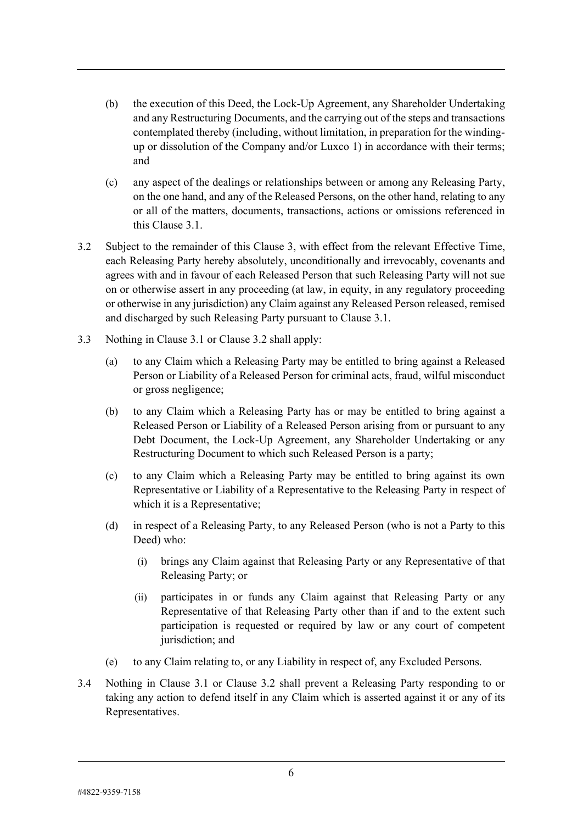- (b) the execution of this Deed, the Lock-Up Agreement, any Shareholder Undertaking and any Restructuring Documents, and the carrying out of the steps and transactions contemplated thereby (including, without limitation, in preparation for the windingup or dissolution of the Company and/or Luxco 1) in accordance with their terms; and
- (c) any aspect of the dealings or relationships between or among any Releasing Party, on the one hand, and any of the Released Persons, on the other hand, relating to any or all of the matters, documents, transactions, actions or omissions referenced in this Clause [3.1.](#page-6-1)
- <span id="page-7-0"></span>3.2 Subject to the remainder of this Clause [3,](#page-6-0) with effect from the relevant Effective Time, each Releasing Party hereby absolutely, unconditionally and irrevocably, covenants and agrees with and in favour of each Released Person that such Releasing Party will not sue on or otherwise assert in any proceeding (at law, in equity, in any regulatory proceeding or otherwise in any jurisdiction) any Claim against any Released Person released, remised and discharged by such Releasing Party pursuant to Clause [3.1.](#page-6-1)
- 3.3 Nothing in Clause [3.1](#page-6-1) or Clause [3.2](#page-7-0) shall apply:
	- (a) to any Claim which a Releasing Party may be entitled to bring against a Released Person or Liability of a Released Person for criminal acts, fraud, wilful misconduct or gross negligence;
	- (b) to any Claim which a Releasing Party has or may be entitled to bring against a Released Person or Liability of a Released Person arising from or pursuant to any Debt Document, the Lock-Up Agreement, any Shareholder Undertaking or any Restructuring Document to which such Released Person is a party;
	- (c) to any Claim which a Releasing Party may be entitled to bring against its own Representative or Liability of a Representative to the Releasing Party in respect of which it is a Representative;
	- (d) in respect of a Releasing Party, to any Released Person (who is not a Party to this Deed) who:
		- (i) brings any Claim against that Releasing Party or any Representative of that Releasing Party; or
		- (ii) participates in or funds any Claim against that Releasing Party or any Representative of that Releasing Party other than if and to the extent such participation is requested or required by law or any court of competent jurisdiction; and
	- (e) to any Claim relating to, or any Liability in respect of, any Excluded Persons.
- 3.4 Nothing in Clause [3.1](#page-6-1) or Clause [3.2](#page-7-0) shall prevent a Releasing Party responding to or taking any action to defend itself in any Claim which is asserted against it or any of its Representatives.

#4822-9359-7158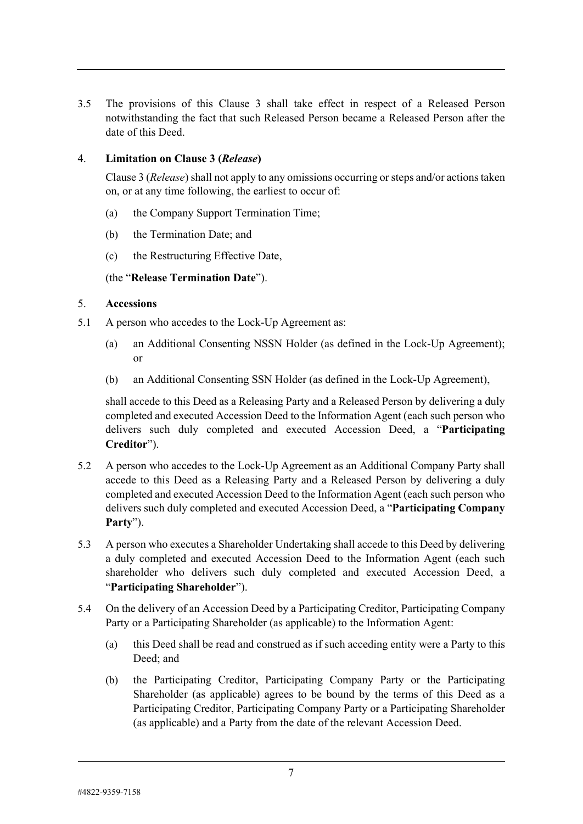3.5 The provisions of this Clause [3](#page-6-0) shall take effect in respect of a Released Person notwithstanding the fact that such Released Person became a Released Person after the date of this Deed.

## <span id="page-8-0"></span>4. **Limitation on Clause [3](#page-6-0) (***Release***)**

Claus[e 3](#page-6-0) (*Release*) shall not apply to any omissions occurring or steps and/or actions taken on, or at any time following, the earliest to occur of:

- (a) the Company Support Termination Time;
- (b) the Termination Date; and
- (c) the Restructuring Effective Date,

## (the "**Release Termination Date**").

## <span id="page-8-1"></span>5. **Accessions**

- <span id="page-8-2"></span>5.1 A person who accedes to the Lock-Up Agreement as:
	- (a) an Additional Consenting NSSN Holder (as defined in the Lock-Up Agreement); or
	- (b) an Additional Consenting SSN Holder (as defined in the Lock-Up Agreement),

shall accede to this Deed as a Releasing Party and a Released Person by delivering a duly completed and executed Accession Deed to the Information Agent (each such person who delivers such duly completed and executed Accession Deed, a "**Participating Creditor**").

- <span id="page-8-3"></span>5.2 A person who accedes to the Lock-Up Agreement as an Additional Company Party shall accede to this Deed as a Releasing Party and a Released Person by delivering a duly completed and executed Accession Deed to the Information Agent (each such person who delivers such duly completed and executed Accession Deed, a "**Participating Company Party**").
- <span id="page-8-4"></span>5.3 A person who executes a Shareholder Undertaking shall accede to this Deed by delivering a duly completed and executed Accession Deed to the Information Agent (each such shareholder who delivers such duly completed and executed Accession Deed, a "**Participating Shareholder**").
- 5.4 On the delivery of an Accession Deed by a Participating Creditor, Participating Company Party or a Participating Shareholder (as applicable) to the Information Agent:
	- (a) this Deed shall be read and construed as if such acceding entity were a Party to this Deed; and
	- (b) the Participating Creditor, Participating Company Party or the Participating Shareholder (as applicable) agrees to be bound by the terms of this Deed as a Participating Creditor, Participating Company Party or a Participating Shareholder (as applicable) and a Party from the date of the relevant Accession Deed.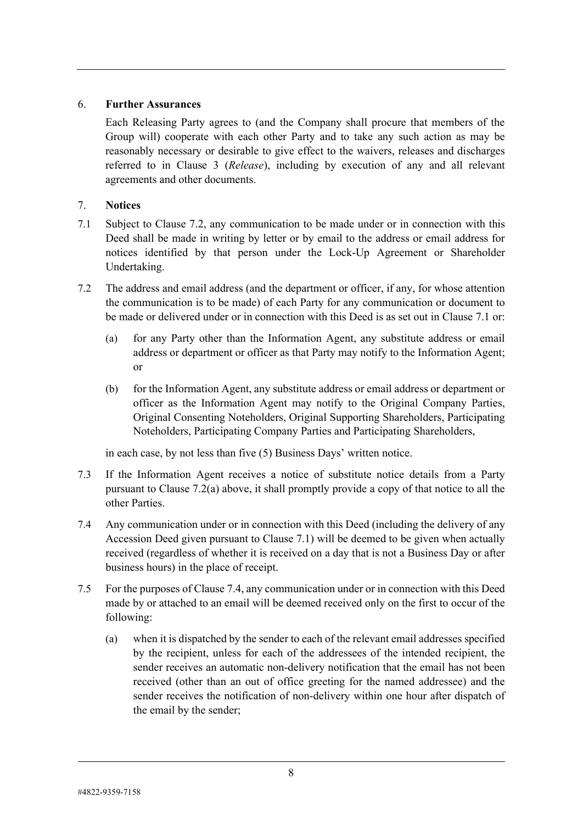## 6. **Further Assurances**

Each Releasing Party agrees to (and the Company shall procure that members of the Group will) cooperate with each other Party and to take any such action as may be reasonably necessary or desirable to give effect to the waivers, releases and discharges referred to in Clause [3](#page-6-0) (*[Release](#page-6-0)*), including by execution of any and all relevant agreements and other documents.

## <span id="page-9-4"></span>7. **Notices**

- <span id="page-9-1"></span>7.1 Subject to Clause [7.2,](#page-9-0) any communication to be made under or in connection with this Deed shall be made in writing by letter or by email to the address or email address for notices identified by that person under the Lock-Up Agreement or Shareholder Undertaking.
- <span id="page-9-2"></span><span id="page-9-0"></span>7.2 The address and email address (and the department or officer, if any, for whose attention the communication is to be made) of each Party for any communication or document to be made or delivered under or in connection with this Deed is as set out in Clause [7.1](#page-9-1) or:
	- (a) for any Party other than the Information Agent, any substitute address or email address or department or officer as that Party may notify to the Information Agent; or
	- (b) for the Information Agent, any substitute address or email address or department or officer as the Information Agent may notify to the Original Company Parties, Original Consenting Noteholders, Original Supporting Shareholders, Participating Noteholders, Participating Company Parties and Participating Shareholders,

in each case, by not less than five (5) Business Days' written notice.

- 7.3 If the Information Agent receives a notice of substitute notice details from a Party pursuant to Clause [7.2\(a\)](#page-9-2) above, it shall promptly provide a copy of that notice to all the other Parties.
- <span id="page-9-3"></span>7.4 Any communication under or in connection with this Deed (including the delivery of any Accession Deed given pursuant to Clause [7.1\)](#page-9-1) will be deemed to be given when actually received (regardless of whether it is received on a day that is not a Business Day or after business hours) in the place of receipt.
- 7.5 For the purposes of Clause [7.4,](#page-9-3) any communication under or in connection with this Deed made by or attached to an email will be deemed received only on the first to occur of the following:
	- (a) when it is dispatched by the sender to each of the relevant email addresses specified by the recipient, unless for each of the addressees of the intended recipient, the sender receives an automatic non-delivery notification that the email has not been received (other than an out of office greeting for the named addressee) and the sender receives the notification of non-delivery within one hour after dispatch of the email by the sender;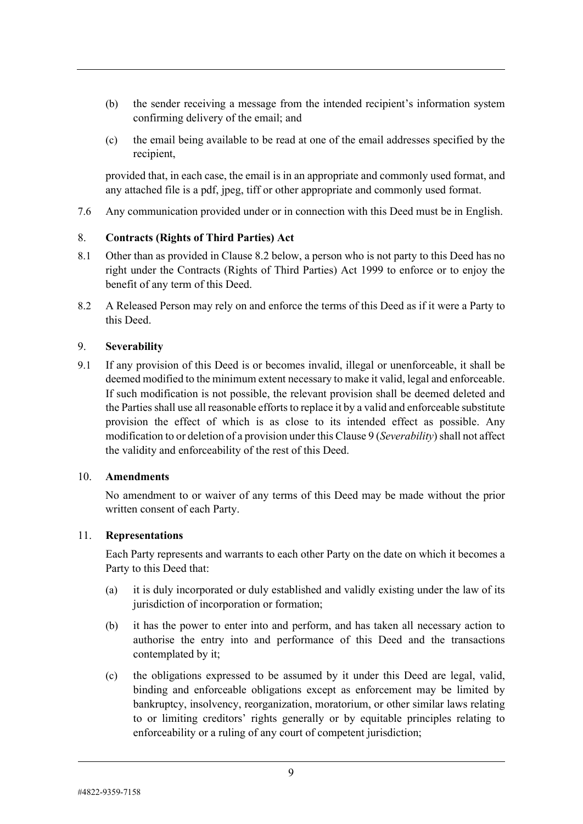- (b) the sender receiving a message from the intended recipient's information system confirming delivery of the email; and
- (c) the email being available to be read at one of the email addresses specified by the recipient,

provided that, in each case, the email is in an appropriate and commonly used format, and any attached file is a pdf, jpeg, tiff or other appropriate and commonly used format.

7.6 Any communication provided under or in connection with this Deed must be in English.

#### 8. **Contracts (Rights of Third Parties) Act**

- 8.1 Other than as provided in Clause [8.2](#page-10-0) below, a person who is not party to this Deed has no right under the Contracts (Rights of Third Parties) Act 1999 to enforce or to enjoy the benefit of any term of this Deed.
- <span id="page-10-0"></span>8.2 A Released Person may rely on and enforce the terms of this Deed as if it were a Party to this Deed.

#### <span id="page-10-1"></span>9. **Severability**

9.1 If any provision of this Deed is or becomes invalid, illegal or unenforceable, it shall be deemed modified to the minimum extent necessary to make it valid, legal and enforceable. If such modification is not possible, the relevant provision shall be deemed deleted and the Parties shall use all reasonable efforts to replace it by a valid and enforceable substitute provision the effect of which is as close to its intended effect as possible. Any modification to or deletion of a provision under this Claus[e 9](#page-10-1) (*[Severability](#page-10-1)*) shall not affect the validity and enforceability of the rest of this Deed.

#### 10. **Amendments**

No amendment to or waiver of any terms of this Deed may be made without the prior written consent of each Party.

#### 11. **Representations**

Each Party represents and warrants to each other Party on the date on which it becomes a Party to this Deed that:

- (a) it is duly incorporated or duly established and validly existing under the law of its jurisdiction of incorporation or formation;
- (b) it has the power to enter into and perform, and has taken all necessary action to authorise the entry into and performance of this Deed and the transactions contemplated by it;
- (c) the obligations expressed to be assumed by it under this Deed are legal, valid, binding and enforceable obligations except as enforcement may be limited by bankruptcy, insolvency, reorganization, moratorium, or other similar laws relating to or limiting creditors' rights generally or by equitable principles relating to enforceability or a ruling of any court of competent jurisdiction;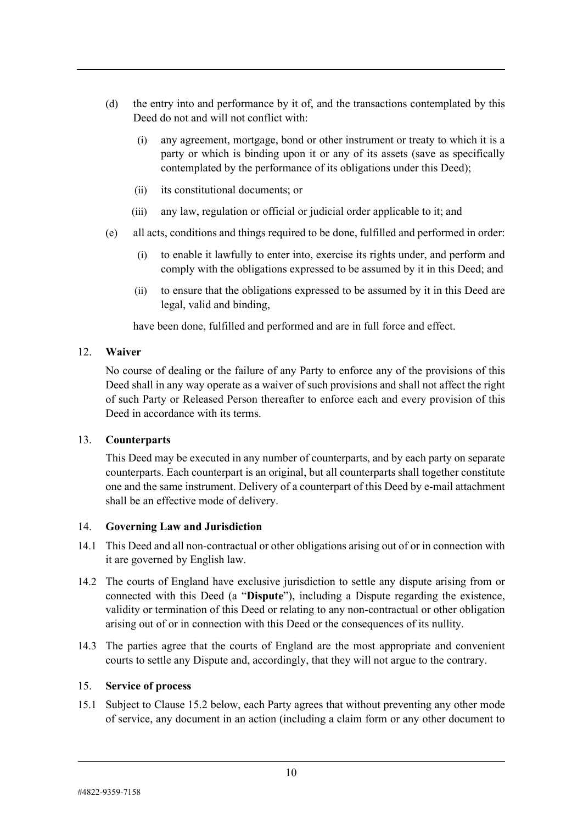- (d) the entry into and performance by it of, and the transactions contemplated by this Deed do not and will not conflict with:
	- (i) any agreement, mortgage, bond or other instrument or treaty to which it is a party or which is binding upon it or any of its assets (save as specifically contemplated by the performance of its obligations under this Deed);
	- (ii) its constitutional documents; or
	- (iii) any law, regulation or official or judicial order applicable to it; and
- (e) all acts, conditions and things required to be done, fulfilled and performed in order:
	- (i) to enable it lawfully to enter into, exercise its rights under, and perform and comply with the obligations expressed to be assumed by it in this Deed; and
	- (ii) to ensure that the obligations expressed to be assumed by it in this Deed are legal, valid and binding,

have been done, fulfilled and performed and are in full force and effect.

#### 12. **Waiver**

No course of dealing or the failure of any Party to enforce any of the provisions of this Deed shall in any way operate as a waiver of such provisions and shall not affect the right of such Party or Released Person thereafter to enforce each and every provision of this Deed in accordance with its terms.

#### 13. **Counterparts**

This Deed may be executed in any number of counterparts, and by each party on separate counterparts. Each counterpart is an original, but all counterparts shall together constitute one and the same instrument. Delivery of a counterpart of this Deed by e-mail attachment shall be an effective mode of delivery.

## 14. **Governing Law and Jurisdiction**

- 14.1 This Deed and all non-contractual or other obligations arising out of or in connection with it are governed by English law.
- 14.2 The courts of England have exclusive jurisdiction to settle any dispute arising from or connected with this Deed (a "**Dispute**"), including a Dispute regarding the existence, validity or termination of this Deed or relating to any non-contractual or other obligation arising out of or in connection with this Deed or the consequences of its nullity.
- 14.3 The parties agree that the courts of England are the most appropriate and convenient courts to settle any Dispute and, accordingly, that they will not argue to the contrary.

#### 15. **Service of process**

15.1 Subject to Clause [15.2 below,](#page-12-0) each Party agrees that without preventing any other mode of service, any document in an action (including a claim form or any other document to

#4822-9359-7158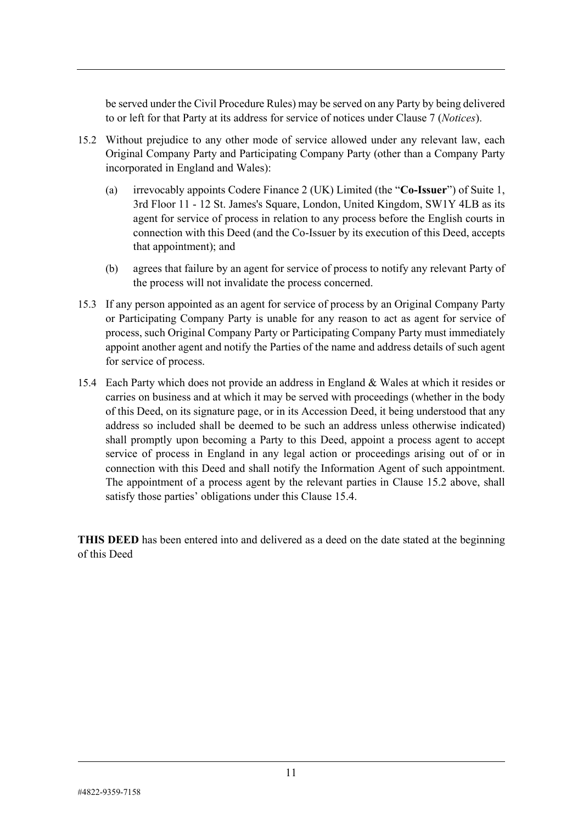be served under the Civil Procedure Rules) may be served on any Party by being delivered to or left for that Party at its address for service of notices under Clause [7](#page-9-4) (*[Notices](#page-9-4)*).

- <span id="page-12-0"></span>15.2 Without prejudice to any other mode of service allowed under any relevant law, each Original Company Party and Participating Company Party (other than a Company Party incorporated in England and Wales):
	- (a) irrevocably appoints Codere Finance 2 (UK) Limited (the "**Co-Issuer**") of Suite 1, 3rd Floor 11 - 12 St. James's Square, London, United Kingdom, SW1Y 4LB as its agent for service of process in relation to any process before the English courts in connection with this Deed (and the Co-Issuer by its execution of this Deed, accepts that appointment); and
	- (b) agrees that failure by an agent for service of process to notify any relevant Party of the process will not invalidate the process concerned.
- 15.3 If any person appointed as an agent for service of process by an Original Company Party or Participating Company Party is unable for any reason to act as agent for service of process, such Original Company Party or Participating Company Party must immediately appoint another agent and notify the Parties of the name and address details of such agent for service of process.
- <span id="page-12-1"></span>15.4 Each Party which does not provide an address in England & Wales at which it resides or carries on business and at which it may be served with proceedings (whether in the body of this Deed, on its signature page, or in its Accession Deed, it being understood that any address so included shall be deemed to be such an address unless otherwise indicated) shall promptly upon becoming a Party to this Deed, appoint a process agent to accept service of process in England in any legal action or proceedings arising out of or in connection with this Deed and shall notify the Information Agent of such appointment. The appointment of a process agent by the relevant parties in Clause [15.2](#page-12-0) above, shall satisfy those parties' obligations under this Clause [15.4.](#page-12-1)

**THIS DEED** has been entered into and delivered as a deed on the date stated at the beginning of this Deed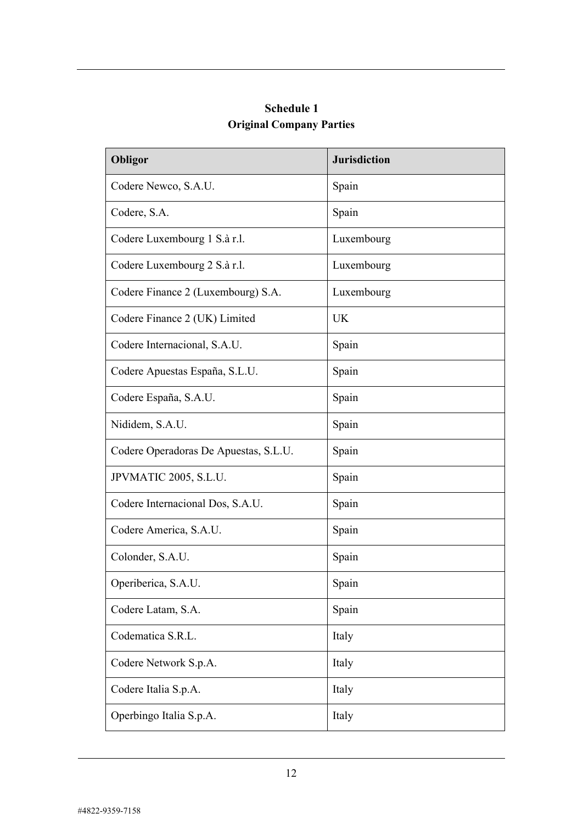| <b>Schedule 1</b>               |
|---------------------------------|
| <b>Original Company Parties</b> |

| Obligor                               | <b>Jurisdiction</b> |
|---------------------------------------|---------------------|
| Codere Newco, S.A.U.                  | Spain               |
| Codere, S.A.                          | Spain               |
| Codere Luxembourg 1 S.à r.l.          | Luxembourg          |
| Codere Luxembourg 2 S.à r.l.          | Luxembourg          |
| Codere Finance 2 (Luxembourg) S.A.    | Luxembourg          |
| Codere Finance 2 (UK) Limited         | <b>UK</b>           |
| Codere Internacional, S.A.U.          | Spain               |
| Codere Apuestas España, S.L.U.        | Spain               |
| Codere España, S.A.U.                 | Spain               |
| Nididem, S.A.U.                       | Spain               |
| Codere Operadoras De Apuestas, S.L.U. | Spain               |
| JPVMATIC 2005, S.L.U.                 | Spain               |
| Codere Internacional Dos, S.A.U.      | Spain               |
| Codere America, S.A.U.                | Spain               |
| Colonder, S.A.U.                      | Spain               |
| Operiberica, S.A.U.                   | Spain               |
| Codere Latam, S.A.                    | Spain               |
| Codematica S.R.L.                     | Italy               |
| Codere Network S.p.A.                 | Italy               |
| Codere Italia S.p.A.                  | Italy               |
| Operbingo Italia S.p.A.               | Italy               |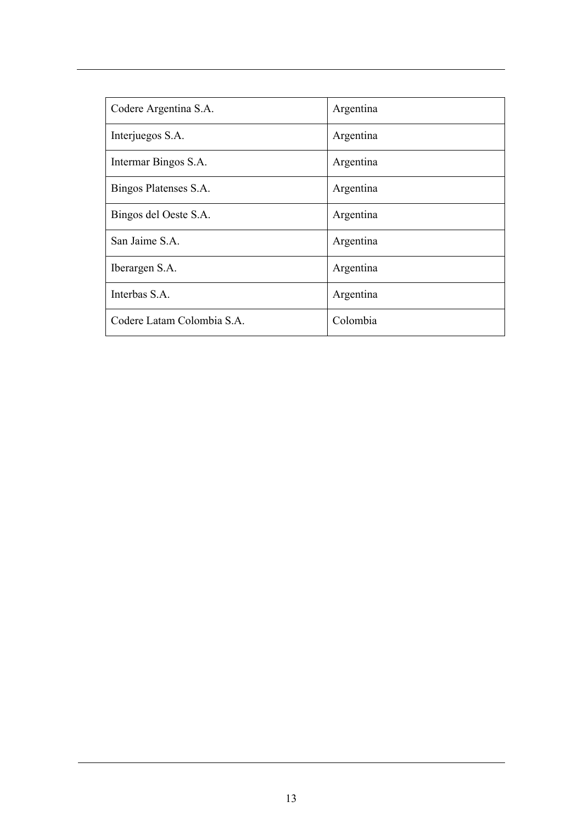| Codere Argentina S.A.      | Argentina |
|----------------------------|-----------|
| Interjuegos S.A.           | Argentina |
| Intermar Bingos S.A.       | Argentina |
| Bingos Platenses S.A.      | Argentina |
| Bingos del Oeste S.A.      | Argentina |
| San Jaime S.A.             | Argentina |
| Iberargen S.A.             | Argentina |
| Interbas S.A.              | Argentina |
| Codere Latam Colombia S.A. | Colombia  |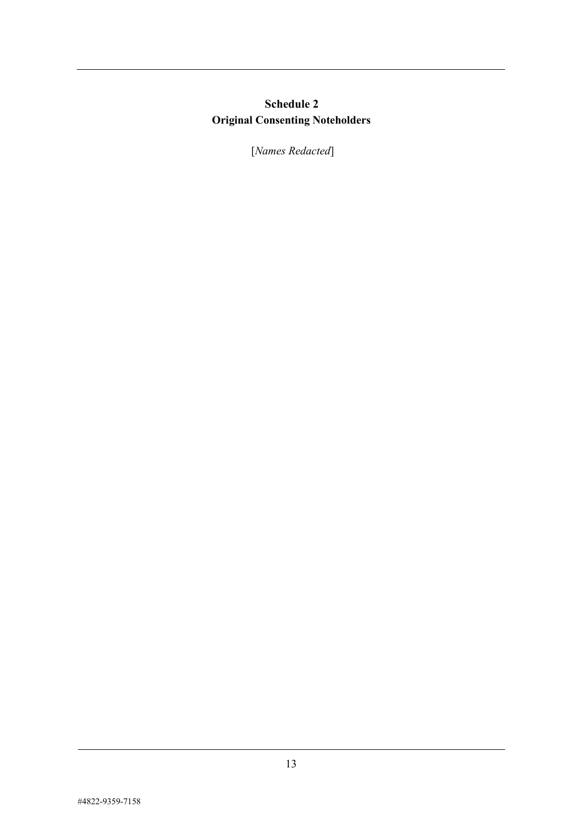# **Schedule 2 Original Consenting Noteholders**

[*Names Redacted*]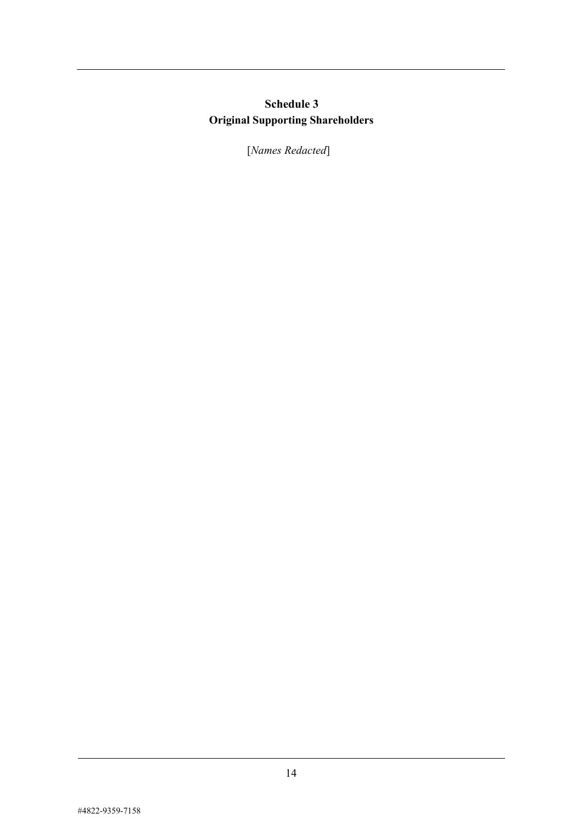# **Schedule 3 Original Supporting Shareholders**

[*Names Redacted*]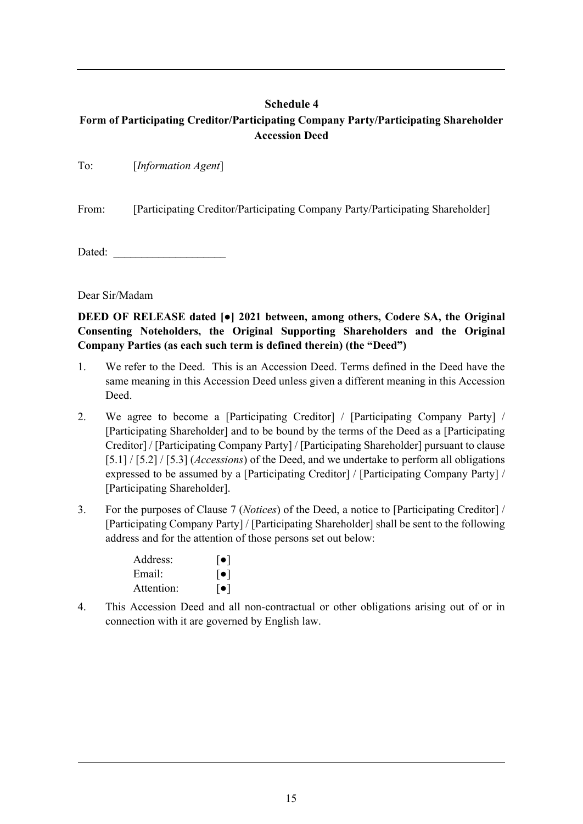## **Schedule 4**

## <span id="page-17-0"></span>**Form of Participating Creditor/Participating Company Party/Participating Shareholder Accession Deed**

From: [Participating Creditor/Participating Company Party/Participating Shareholder]

Dated:

Dear Sir/Madam

**DEED OF RELEASE dated [●] 2021 between, among others, Codere SA, the Original Consenting Noteholders, the Original Supporting Shareholders and the Original Company Parties (as each such term is defined therein) (the "Deed")** 

- 1. We refer to the Deed. This is an Accession Deed. Terms defined in the Deed have the same meaning in this Accession Deed unless given a different meaning in this Accession Deed.
- 2. We agree to become a [Participating Creditor] / [Participating Company Party] / [Participating Shareholder] and to be bound by the terms of the Deed as a [Participating Creditor] / [Participating Company Party] / [Participating Shareholder] pursuant to clause [\[5.1\]](#page-8-2) / [\[5.2\]](#page-8-3) / [\[5.3\]](#page-8-4) (*[Accessions](#page-8-1)*) of the Deed, and we undertake to perform all obligations expressed to be assumed by a [Participating Creditor] / [Participating Company Party] / [Participating Shareholder].
- 3. For the purposes of Clause [7](#page-9-4) (*[Notices](#page-9-4)*) of the Deed, a notice to [Participating Creditor] / [Participating Company Party] / [Participating Shareholder] shall be sent to the following address and for the attention of those persons set out below:

| Address:   | $  \bullet  $ |
|------------|---------------|
| Email:     | $  \bullet  $ |
| Attention: | $  \bullet  $ |

4. This Accession Deed and all non-contractual or other obligations arising out of or in connection with it are governed by English law.